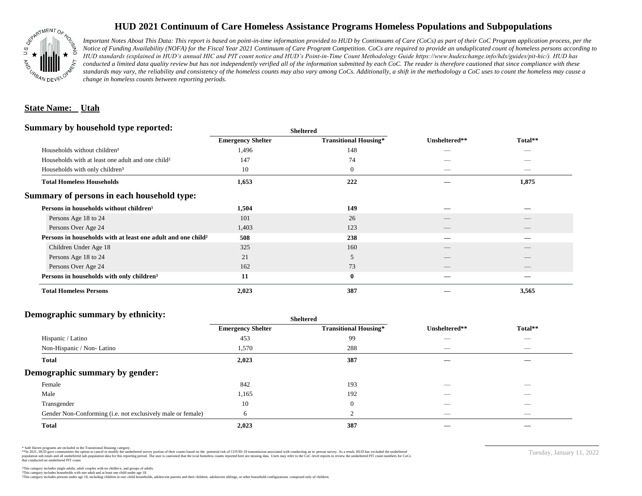

## **HUD 2021 Continuum of Care Homeless Assistance Programs Homeless Populations and Subpopulations**

*Important Notes About This Data: This report is based on point-in-time information provided to HUD by Continuums of Care (CoCs) as part of their CoC Program application process, per the Notice of Funding Availability (NOFA) for the Fiscal Year 2021 Continuum of Care Program Competition. CoCs are required to provide an unduplicated count of homeless persons according to HUD standards (explained in HUD's annual HIC and PIT count notice and HUD's Point-in-Time Count Methodology Guide https://www.hudexchange.info/hdx/guides/pit-hic/). HUD has*  conducted a limited data quality review but has not independently verified all of the information submitted by each CoC. The reader is therefore cautioned that since compliance with these standards may vary, the reliability and consistency of the homeless counts may also vary among CoCs. Additionally, a shift in the methodology a CoC uses to count the homeless may cause a *change in homeless counts between reporting periods.*

### **State Name: Utah**

#### **Summary by household type reported:**

| Summary by household type reported:                                      | <b>Sheltered</b>         |                              |               |         |  |
|--------------------------------------------------------------------------|--------------------------|------------------------------|---------------|---------|--|
|                                                                          | <b>Emergency Shelter</b> | <b>Transitional Housing*</b> | Unsheltered** | Total** |  |
| Households without children <sup>1</sup>                                 | 1,496                    | 148                          |               |         |  |
| Households with at least one adult and one child <sup>2</sup>            | 147                      | 74                           |               |         |  |
| Households with only children <sup>3</sup>                               | 10                       | $\theta$                     | _             |         |  |
| <b>Total Homeless Households</b>                                         | 1,653                    | 222                          |               | 1,875   |  |
| Summary of persons in each household type:                               |                          |                              |               |         |  |
| Persons in households without children <sup>1</sup>                      | 1,504                    | 149                          |               |         |  |
| Persons Age 18 to 24                                                     | 101                      | 26                           |               |         |  |
| Persons Over Age 24                                                      | 1,403                    | 123                          |               |         |  |
| Persons in households with at least one adult and one child <sup>2</sup> | 508                      | 238                          |               |         |  |
| Children Under Age 18                                                    | 325                      | 160                          | __            |         |  |
| Persons Age 18 to 24                                                     | 21                       | 5                            |               |         |  |
| Persons Over Age 24                                                      | 162                      | 73                           |               |         |  |
| Persons in households with only children <sup>3</sup>                    | 11                       | $\bf{0}$                     |               |         |  |
| <b>Total Homeless Persons</b>                                            | 2,023                    | 387                          |               | 3,565   |  |

### **Demographic summary by ethnicity:**

| ັ<br>. .<br>$\bullet$<br>. .<br>$\ddot{\phantom{1}}$        | Sneitered                |                              |                                 |                                |
|-------------------------------------------------------------|--------------------------|------------------------------|---------------------------------|--------------------------------|
|                                                             | <b>Emergency Shelter</b> | <b>Transitional Housing*</b> | Unsheltered**                   | Total**                        |
| Hispanic / Latino                                           | 453                      | 99                           | _                               | $\overbrace{\hspace{25mm}}^{}$ |
| Non-Hispanic / Non-Latino                                   | 1,570                    | 288                          | $\hspace{0.05cm}$               | $\overbrace{\hspace{25mm}}^{}$ |
| <b>Total</b>                                                | 2,023                    | 387                          |                                 |                                |
| Demographic summary by gender:                              |                          |                              |                                 |                                |
| Female                                                      | 842                      | 193                          | ___                             | $\overline{\phantom{a}}$       |
| Male                                                        | 1,165                    | 192                          | ___                             | $\overline{\phantom{a}}$       |
| Transgender                                                 | 10                       | $\overline{0}$               | __                              | $\sim$                         |
| Gender Non-Conforming (i.e. not exclusively male or female) | 6                        | 2                            | $\hspace{0.1mm}-\hspace{0.1mm}$ | $\overbrace{\hspace{25mm}}^{}$ |
| <b>Total</b>                                                | 2,023                    | 387                          |                                 |                                |

**Sheltered**

\* Safe Haven programs are included in the Transitional Housing category.

\*\*In 2021, HUD gave communities the option to cancel or modify the unsheltered survey portion of their counts based on the potential risk of COVID-19 transmission associated with conducting an in-person survey. As a result n political data for this reporting period. The user is cautioned that the total homeless counts reported here are missing data. Users may refer to the CoC-level reports to review the unshellered PIT count numbers for CoCs that conducted an unsheltered PIT count.

Tuesday, January 11, 2022